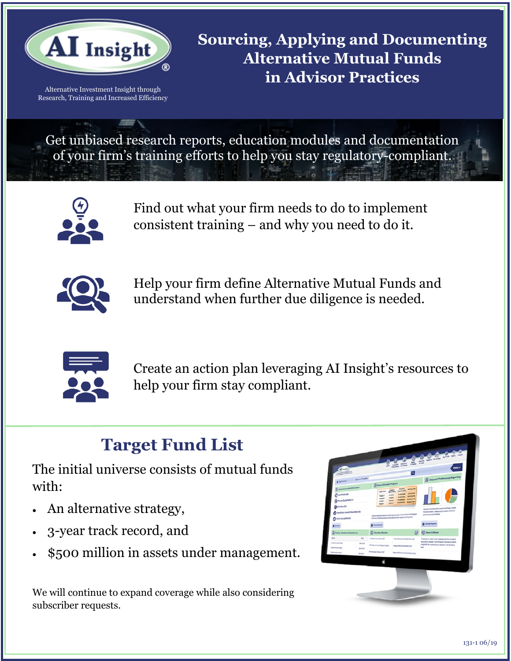

Alternative Investment Insight through Research, Training and Increased Efficiency **Sourcing, Applying and Documenting Alternative Mutual Funds in Advisor Practices** 

Get unbiased research reports, education modules and documentation of your firm's training efforts to help you stay regulatory-compliant.



Find out what your firm needs to do to implement consistent training – and why you need to do it.



Help your firm define Alternative Mutual Funds and understand when further due diligence is needed.



Create an action plan leveraging AI Insight's resources to help your firm stay compliant.

# **Target Fund List**

The initial universe consists of mutual funds with:

- An alternative strategy,
- 3-year track record, and
- \$500 million in assets under management.

We will continue to expand coverage while also considering subscriber requests.

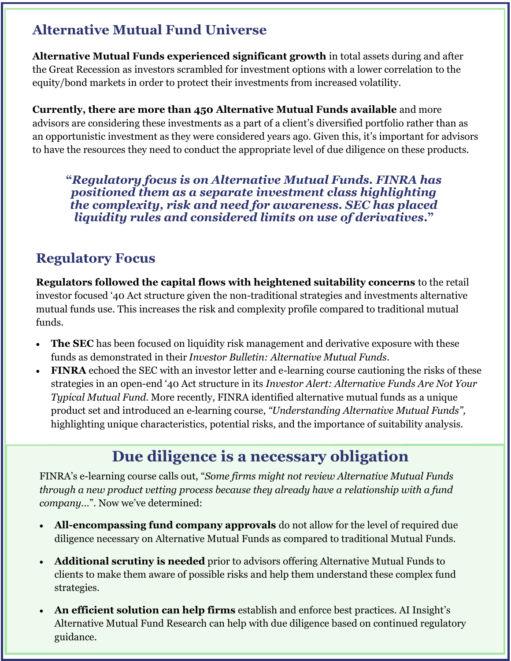### **Alternative Mutual Fund Universe**

**Alternative Mutual Funds**  the Great Recession as investors scrambled for investment options with a lower correlation to the **in Advisor Practices**  equity/bond markets in order to protect their investments from increased volatility. **Alternative Mutual Funds experienced significant growth** in total assets during and after

**Currently, there are more than 450 Alternative Mutual Funds available** and more advisors are considering these investments as a part of a client's diversified portfolio rather than as an opportunistic investment as they were considered years ago. Given this, it's important for advisors to have the resources they need to conduct the appropriate level of due diligence on these products.

**"***Regulatory focus is on Alternative Mutual Funds. FINRA has positioned them as a separate investment class highlighting the complexity, risk and need for awareness. SEC has placed liquidity rules and considered limits on use of derivatives***."**

### **Regulatory Focus**

**Regulators followed the capital flows with heightened suitability concerns** to the retail investor focused '40 Act structure given the non-traditional strategies and investments alternative mutual funds use. This increases the risk and complexity profile compared to traditional mutual funds.

- **The SEC** has been focused on liquidity risk management and derivative exposure with these funds as demonstrated in their *Investor Bulletin: Alternative Mutual Funds*.
- **FINRA** echoed the SEC with an investor letter and e-learning course cautioning the risks of these strategies in an open-end '40 Act structure in its *Investor Alert: Alternative Funds Are Not Your Typical Mutual Fund*. More recently, FINRA identified alternative mutual funds as a unique product set and introduced an e-learning course, *"Understanding Alternative Mutual Funds",* highlighting unique characteristics, potential risks, and the importance of suitability analysis.

## **Due diligence is a necessary obligation**

FINRA's e-learning course calls out, "*Some firms might not review Alternative Mutual Funds through a new product vetting process because they already have a relationship with a fund company*…". Now we've determined:

- **All-encompassing fund company approvals** do not allow for the level of required due diligence necessary on Alternative Mutual Funds as compared to traditional Mutual Funds.
- **Additional scrutiny is needed** prior to advisors offering Alternative Mutual Funds to clients to make them aware of possible risks and help them understand these complex fund strategies.
- **An efficient solution can help firms** establish and enforce best practices. AI Insight's Alternative Mutual Fund Research can help with due diligence based on continued regulatory guidance.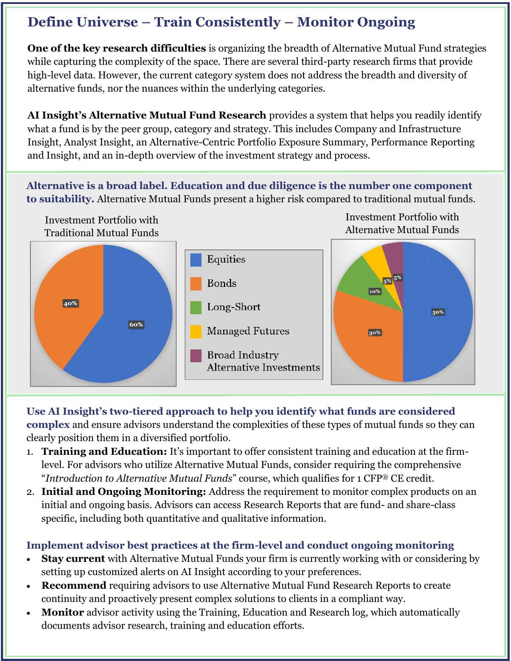### **Define Universe – Train Consistently – Monitor Ongoing**

**One of the key research difficulties** is organizing the breadth of Alternative Mutual Fund strategies while capturing the complexity of the space. There are several third-party research firms that provide high-level data. However, the current category system does not address the breadth and diversity of<br>alternative funds, nor the nuances within the underlying categories alternative funds, nor the nuances within the underlying categories.

**AI Insight's Alternative Mutual Fund Research** provides a system that helps you readily identify what a fund is by the peer group, category and strategy. This includes Company and Infrastructure Insight, Analyst Insight, an Alternative-Centric Portfolio Exposure Summary, Performance Reporting and Insight, and an in-depth overview of the investment strategy and process.

**Alternative is a broad label. Education and due diligence is the number one component to suitability.** Alternative Mutual Funds present a higher risk compared to traditional mutual funds.



**Use AI Insight's two-tiered approach to help you identify what funds are considered complex** and ensure advisors understand the complexities of these types of mutual funds so they can clearly position them in a diversified portfolio.

- 1. **Training and Education:** It's important to offer consistent training and education at the firmlevel. For advisors who utilize Alternative Mutual Funds, consider requiring the comprehensive "*Introduction to Alternative Mutual Funds*" course, which qualifies for 1 CFP® CE credit.
- 2. **Initial and Ongoing Monitoring:** Address the requirement to monitor complex products on an initial and ongoing basis. Advisors can access Research Reports that are fund- and share-class specific, including both quantitative and qualitative information.

#### **Implement advisor best practices at the firm-level and conduct ongoing monitoring**

- **Stay current** with Alternative Mutual Funds your firm is currently working with or considering by setting up customized alerts on AI Insight according to your preferences.
- **Recommend** requiring advisors to use Alternative Mutual Fund Research Reports to create continuity and proactively present complex solutions to clients in a compliant way.
- **Monitor** advisor activity using the Training, Education and Research log, which automatically documents advisor research, training and education efforts.